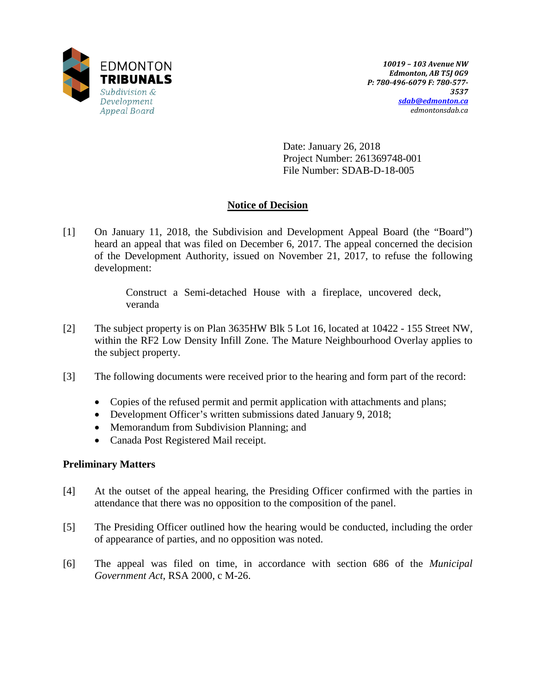

Date: January 26, 2018 Project Number: 261369748-001 File Number: SDAB-D-18-005

# **Notice of Decision**

[1] On January 11, 2018, the Subdivision and Development Appeal Board (the "Board") heard an appeal that was filed on December 6, 2017. The appeal concerned the decision of the Development Authority, issued on November 21, 2017, to refuse the following development:

> Construct a Semi-detached House with a fireplace, uncovered deck, veranda

- [2] The subject property is on Plan 3635HW Blk 5 Lot 16, located at 10422 155 Street NW, within the RF2 Low Density Infill Zone. The Mature Neighbourhood Overlay applies to the subject property.
- [3] The following documents were received prior to the hearing and form part of the record:
	- Copies of the refused permit and permit application with attachments and plans;
	- Development Officer's written submissions dated January 9, 2018;
	- Memorandum from Subdivision Planning; and
	- Canada Post Registered Mail receipt.

## **Preliminary Matters**

- [4] At the outset of the appeal hearing, the Presiding Officer confirmed with the parties in attendance that there was no opposition to the composition of the panel.
- [5] The Presiding Officer outlined how the hearing would be conducted, including the order of appearance of parties, and no opposition was noted.
- [6] The appeal was filed on time, in accordance with section 686 of the *Municipal Government Act*, RSA 2000, c M-26.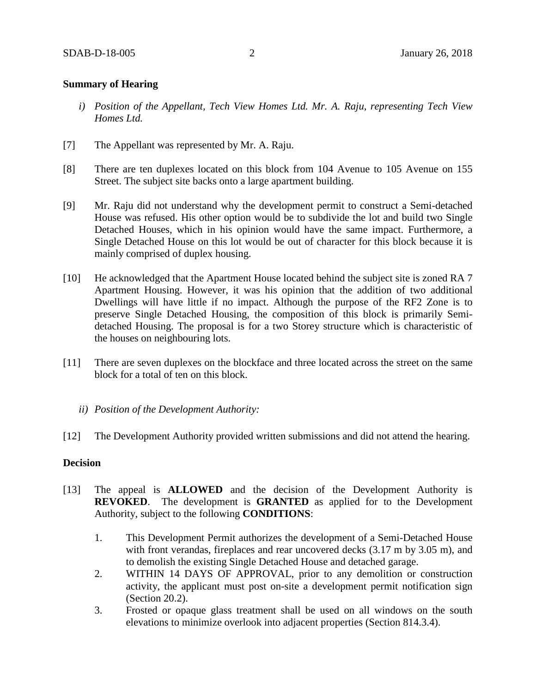## **Summary of Hearing**

- *i) Position of the Appellant, Tech View Homes Ltd. Mr. A. Raju, representing Tech View Homes Ltd.*
- [7] The Appellant was represented by Mr. A. Raju.
- [8] There are ten duplexes located on this block from 104 Avenue to 105 Avenue on 155 Street. The subject site backs onto a large apartment building.
- [9] Mr. Raju did not understand why the development permit to construct a Semi-detached House was refused. His other option would be to subdivide the lot and build two Single Detached Houses, which in his opinion would have the same impact. Furthermore, a Single Detached House on this lot would be out of character for this block because it is mainly comprised of duplex housing.
- [10] He acknowledged that the Apartment House located behind the subject site is zoned RA 7 Apartment Housing. However, it was his opinion that the addition of two additional Dwellings will have little if no impact. Although the purpose of the RF2 Zone is to preserve Single Detached Housing, the composition of this block is primarily Semidetached Housing. The proposal is for a two Storey structure which is characteristic of the houses on neighbouring lots.
- [11] There are seven duplexes on the blockface and three located across the street on the same block for a total of ten on this block.
	- *ii) Position of the Development Authority:*
- [12] The Development Authority provided written submissions and did not attend the hearing.

## **Decision**

- [13] The appeal is **ALLOWED** and the decision of the Development Authority is **REVOKED**. The development is **GRANTED** as applied for to the Development Authority, subject to the following **CONDITIONS**:
	- 1. This Development Permit authorizes the development of a Semi-Detached House with front verandas, fireplaces and rear uncovered decks  $(3.17 \text{ m by } 3.05 \text{ m})$ , and to demolish the existing Single Detached House and detached garage.
	- 2. WITHIN 14 DAYS OF APPROVAL, prior to any demolition or construction activity, the applicant must post on-site a development permit notification sign (Section 20.2).
	- 3. Frosted or opaque glass treatment shall be used on all windows on the south elevations to minimize overlook into adjacent properties (Section 814.3.4).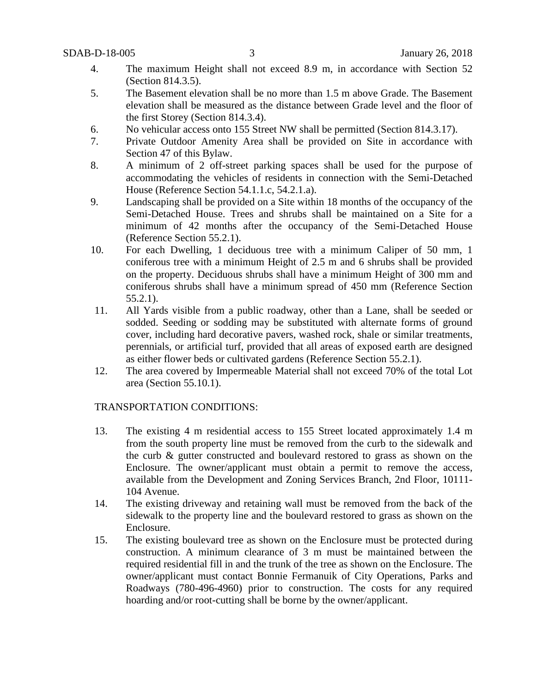- 4. The maximum Height shall not exceed 8.9 m, in accordance with Section 52 (Section 814.3.5).
- 5. The Basement elevation shall be no more than 1.5 m above Grade. The Basement elevation shall be measured as the distance between Grade level and the floor of the first Storey (Section 814.3.4).
- 6. No vehicular access onto 155 Street NW shall be permitted (Section 814.3.17).
- 7. Private Outdoor Amenity Area shall be provided on Site in accordance with Section 47 of this Bylaw.
- 8. A minimum of 2 off-street parking spaces shall be used for the purpose of accommodating the vehicles of residents in connection with the Semi-Detached House (Reference Section 54.1.1.c, 54.2.1.a).
- 9. Landscaping shall be provided on a Site within 18 months of the occupancy of the Semi-Detached House. Trees and shrubs shall be maintained on a Site for a minimum of 42 months after the occupancy of the Semi-Detached House (Reference Section 55.2.1).
- 10. For each Dwelling, 1 deciduous tree with a minimum Caliper of 50 mm, 1 coniferous tree with a minimum Height of 2.5 m and 6 shrubs shall be provided on the property. Deciduous shrubs shall have a minimum Height of 300 mm and coniferous shrubs shall have a minimum spread of 450 mm (Reference Section 55.2.1).
- 11. All Yards visible from a public roadway, other than a Lane, shall be seeded or sodded. Seeding or sodding may be substituted with alternate forms of ground cover, including hard decorative pavers, washed rock, shale or similar treatments, perennials, or artificial turf, provided that all areas of exposed earth are designed as either flower beds or cultivated gardens (Reference Section 55.2.1).
- 12. The area covered by Impermeable Material shall not exceed 70% of the total Lot area (Section 55.10.1).

## TRANSPORTATION CONDITIONS:

- 13. The existing 4 m residential access to 155 Street located approximately 1.4 m from the south property line must be removed from the curb to the sidewalk and the curb & gutter constructed and boulevard restored to grass as shown on the Enclosure. The owner/applicant must obtain a permit to remove the access, available from the Development and Zoning Services Branch, 2nd Floor, 10111- 104 Avenue.
- 14. The existing driveway and retaining wall must be removed from the back of the sidewalk to the property line and the boulevard restored to grass as shown on the Enclosure.
- 15. The existing boulevard tree as shown on the Enclosure must be protected during construction. A minimum clearance of 3 m must be maintained between the required residential fill in and the trunk of the tree as shown on the Enclosure. The owner/applicant must contact Bonnie Fermanuik of City Operations, Parks and Roadways (780-496-4960) prior to construction. The costs for any required hoarding and/or root-cutting shall be borne by the owner/applicant.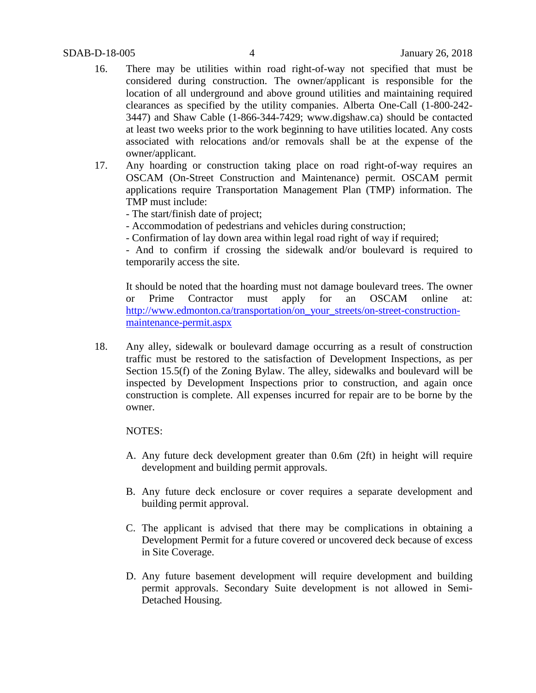- 16. There may be utilities within road right-of-way not specified that must be considered during construction. The owner/applicant is responsible for the location of all underground and above ground utilities and maintaining required clearances as specified by the utility companies. Alberta One-Call (1-800-242- 3447) and Shaw Cable (1-866-344-7429; www.digshaw.ca) should be contacted at least two weeks prior to the work beginning to have utilities located. Any costs associated with relocations and/or removals shall be at the expense of the owner/applicant.
- 17. Any hoarding or construction taking place on road right-of-way requires an OSCAM (On-Street Construction and Maintenance) permit. OSCAM permit applications require Transportation Management Plan (TMP) information. The TMP must include:

- The start/finish date of project;

- Accommodation of pedestrians and vehicles during construction;
- Confirmation of lay down area within legal road right of way if required;

- And to confirm if crossing the sidewalk and/or boulevard is required to temporarily access the site.

It should be noted that the hoarding must not damage boulevard trees. The owner or Prime Contractor must apply for an OSCAM online at: [http://www.edmonton.ca/transportation/on\\_your\\_streets/on-street-construction](http://www.edmonton.ca/transportation/on_your_streets/on-street-construction-maintenance-permit.aspx)[maintenance-permit.aspx](http://www.edmonton.ca/transportation/on_your_streets/on-street-construction-maintenance-permit.aspx)

18. Any alley, sidewalk or boulevard damage occurring as a result of construction traffic must be restored to the satisfaction of Development Inspections, as per Section 15.5(f) of the Zoning Bylaw. The alley, sidewalks and boulevard will be inspected by Development Inspections prior to construction, and again once construction is complete. All expenses incurred for repair are to be borne by the owner.

#### NOTES:

- A. Any future deck development greater than 0.6m (2ft) in height will require development and building permit approvals.
- B. Any future deck enclosure or cover requires a separate development and building permit approval.
- C. The applicant is advised that there may be complications in obtaining a Development Permit for a future covered or uncovered deck because of excess in Site Coverage.
- D. Any future basement development will require development and building permit approvals. Secondary Suite development is not allowed in Semi-Detached Housing.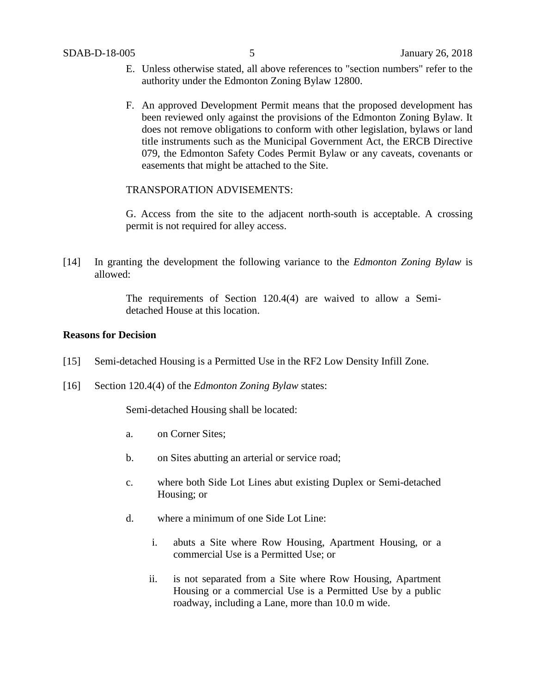- E. Unless otherwise stated, all above references to "section numbers" refer to the authority under the Edmonton Zoning Bylaw 12800.
- F. An approved Development Permit means that the proposed development has been reviewed only against the provisions of the Edmonton Zoning Bylaw. It does not remove obligations to conform with other legislation, bylaws or land title instruments such as the Municipal Government Act, the ERCB Directive 079, the Edmonton Safety Codes Permit Bylaw or any caveats, covenants or easements that might be attached to the Site.

#### TRANSPORATION ADVISEMENTS:

G. Access from the site to the adjacent north-south is acceptable. A crossing permit is not required for alley access.

[14] In granting the development the following variance to the *Edmonton Zoning Bylaw* is allowed:

> The requirements of Section 120.4(4) are waived to allow a Semidetached House at this location.

## **Reasons for Decision**

- [15] Semi-detached Housing is a Permitted Use in the RF2 Low Density Infill Zone.
- [16] Section 120.4(4) of the *Edmonton Zoning Bylaw* states:

Semi-detached Housing shall be located:

- a. on Corner Sites;
- b. on Sites abutting an arterial or service road;
- c. where both Side Lot Lines abut existing Duplex or Semi-detached Housing; or
- d. where a minimum of one Side Lot Line:
	- i. abuts a Site where Row Housing, Apartment Housing, or a commercial Use is a Permitted Use; or
	- ii. is not separated from a Site where Row Housing, Apartment Housing or a commercial Use is a Permitted Use by a public roadway, including a Lane, more than 10.0 m wide.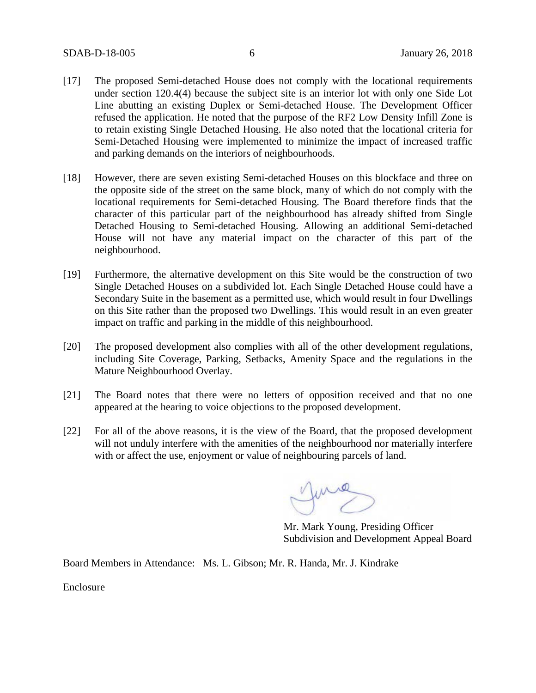- [17] The proposed Semi-detached House does not comply with the locational requirements under section 120.4(4) because the subject site is an interior lot with only one Side Lot Line abutting an existing Duplex or Semi-detached House. The Development Officer refused the application. He noted that the purpose of the RF2 Low Density Infill Zone is to retain existing Single Detached Housing. He also noted that the locational criteria for Semi-Detached Housing were implemented to minimize the impact of increased traffic and parking demands on the interiors of neighbourhoods.
- [18] However, there are seven existing Semi-detached Houses on this blockface and three on the opposite side of the street on the same block, many of which do not comply with the locational requirements for Semi-detached Housing. The Board therefore finds that the character of this particular part of the neighbourhood has already shifted from Single Detached Housing to Semi-detached Housing. Allowing an additional Semi-detached House will not have any material impact on the character of this part of the neighbourhood.
- [19] Furthermore, the alternative development on this Site would be the construction of two Single Detached Houses on a subdivided lot. Each Single Detached House could have a Secondary Suite in the basement as a permitted use, which would result in four Dwellings on this Site rather than the proposed two Dwellings. This would result in an even greater impact on traffic and parking in the middle of this neighbourhood.
- [20] The proposed development also complies with all of the other development regulations, including Site Coverage, Parking, Setbacks, Amenity Space and the regulations in the Mature Neighbourhood Overlay.
- [21] The Board notes that there were no letters of opposition received and that no one appeared at the hearing to voice objections to the proposed development.
- [22] For all of the above reasons, it is the view of the Board, that the proposed development will not unduly interfere with the amenities of the neighbourhood nor materially interfere with or affect the use, enjoyment or value of neighbouring parcels of land.

June

Mr. Mark Young, Presiding Officer Subdivision and Development Appeal Board

Board Members in Attendance: Ms. L. Gibson; Mr. R. Handa, Mr. J. Kindrake

Enclosure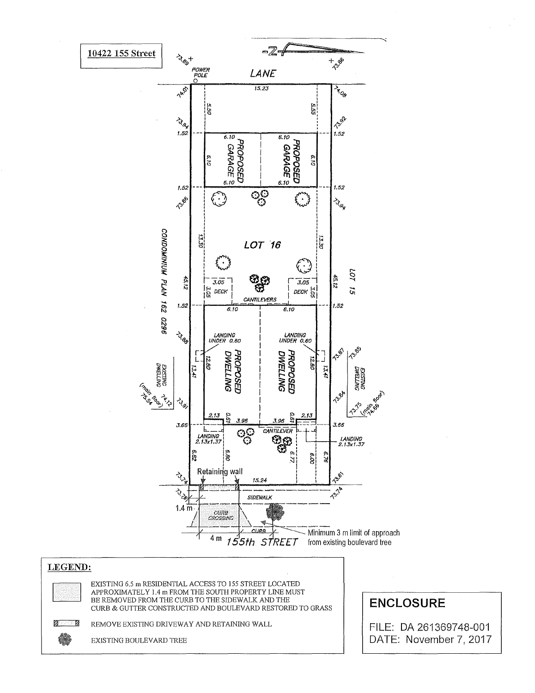

## LEGEND:

EXISTING 6.5 in RESIDENTIAL ACCESS TO 155 STREET LOCATED APPROXIMATELY 1.4 m FROM THE SOUTH PROPERTY LINE MUST BE REMOVED FROM THE CURB TO THE SIDEWALK AND THE CURB & GUTTER CONSTRUCTED AND BOULEVARD RESTORED TO GRASS

**Z** C)

REMOVE EXISTING DRIVEWAY AND RETAINING WALL

EXISTING BOULEVARD TREE

**ENCLOSURE** 

FILE: DA 261369748-001 DATE: November 7, 2017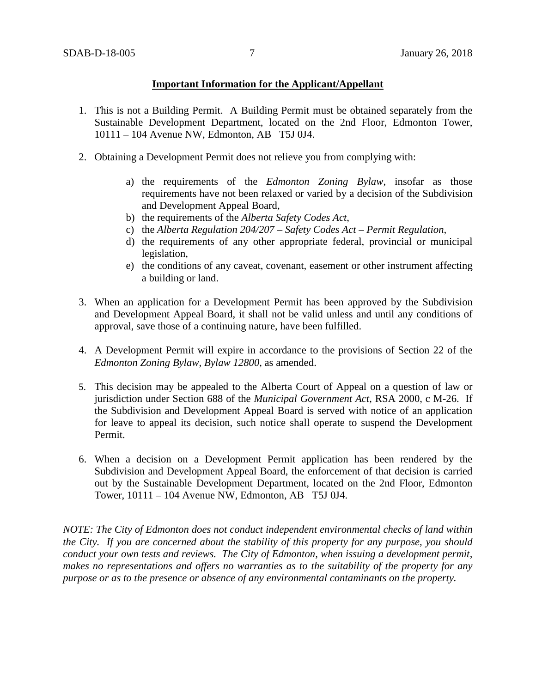## **Important Information for the Applicant/Appellant**

- 1. This is not a Building Permit. A Building Permit must be obtained separately from the Sustainable Development Department, located on the 2nd Floor, Edmonton Tower, 10111 – 104 Avenue NW, Edmonton, AB T5J 0J4.
- 2. Obtaining a Development Permit does not relieve you from complying with:
	- a) the requirements of the *Edmonton Zoning Bylaw*, insofar as those requirements have not been relaxed or varied by a decision of the Subdivision and Development Appeal Board,
	- b) the requirements of the *Alberta Safety Codes Act*,
	- c) the *Alberta Regulation 204/207 – Safety Codes Act – Permit Regulation*,
	- d) the requirements of any other appropriate federal, provincial or municipal legislation,
	- e) the conditions of any caveat, covenant, easement or other instrument affecting a building or land.
- 3. When an application for a Development Permit has been approved by the Subdivision and Development Appeal Board, it shall not be valid unless and until any conditions of approval, save those of a continuing nature, have been fulfilled.
- 4. A Development Permit will expire in accordance to the provisions of Section 22 of the *Edmonton Zoning Bylaw, Bylaw 12800*, as amended.
- 5. This decision may be appealed to the Alberta Court of Appeal on a question of law or jurisdiction under Section 688 of the *Municipal Government Act*, RSA 2000, c M-26. If the Subdivision and Development Appeal Board is served with notice of an application for leave to appeal its decision, such notice shall operate to suspend the Development Permit.
- 6. When a decision on a Development Permit application has been rendered by the Subdivision and Development Appeal Board, the enforcement of that decision is carried out by the Sustainable Development Department, located on the 2nd Floor, Edmonton Tower, 10111 – 104 Avenue NW, Edmonton, AB T5J 0J4.

*NOTE: The City of Edmonton does not conduct independent environmental checks of land within the City. If you are concerned about the stability of this property for any purpose, you should conduct your own tests and reviews. The City of Edmonton, when issuing a development permit, makes no representations and offers no warranties as to the suitability of the property for any purpose or as to the presence or absence of any environmental contaminants on the property.*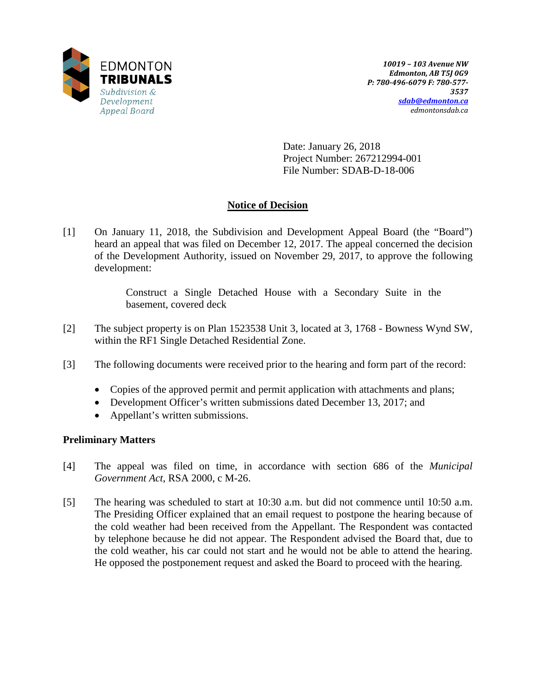

Date: January 26, 2018 Project Number: 267212994-001 File Number: SDAB-D-18-006

# **Notice of Decision**

[1] On January 11, 2018, the Subdivision and Development Appeal Board (the "Board") heard an appeal that was filed on December 12, 2017. The appeal concerned the decision of the Development Authority, issued on November 29, 2017, to approve the following development:

> Construct a Single Detached House with a Secondary Suite in the basement, covered deck

- [2] The subject property is on Plan 1523538 Unit 3, located at 3, 1768 Bowness Wynd SW, within the RF1 Single Detached Residential Zone.
- [3] The following documents were received prior to the hearing and form part of the record:
	- Copies of the approved permit and permit application with attachments and plans;
	- Development Officer's written submissions dated December 13, 2017; and
	- Appellant's written submissions.

## **Preliminary Matters**

- [4] The appeal was filed on time, in accordance with section 686 of the *Municipal Government Act*, RSA 2000, c M-26.
- [5] The hearing was scheduled to start at 10:30 a.m. but did not commence until 10:50 a.m. The Presiding Officer explained that an email request to postpone the hearing because of the cold weather had been received from the Appellant. The Respondent was contacted by telephone because he did not appear. The Respondent advised the Board that, due to the cold weather, his car could not start and he would not be able to attend the hearing. He opposed the postponement request and asked the Board to proceed with the hearing.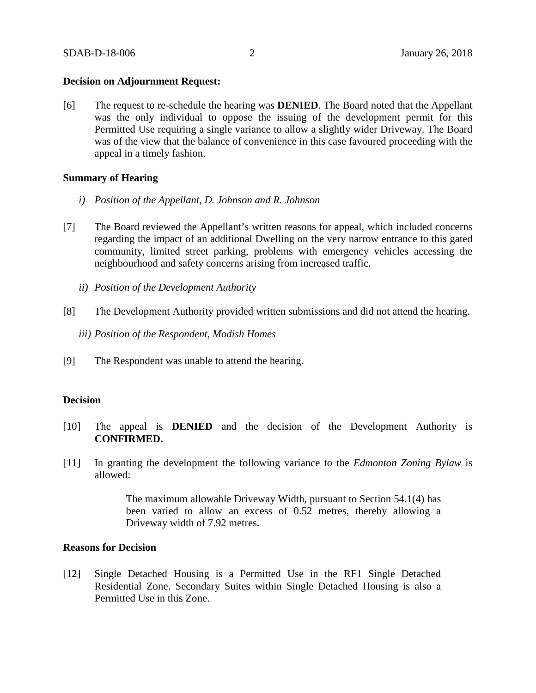#### **Decision on Adjournment Request:**

[6] The request to re-schedule the hearing was **DENIED**. The Board noted that the Appellant was the only individual to oppose the issuing of the development permit for this Permitted Use requiring a single variance to allow a slightly wider Driveway. The Board was of the view that the balance of convenience in this case favoured proceeding with the appeal in a timely fashion.

## **Summary of Hearing**

- *i) Position of the Appellant, D. Johnson and R. Johnson*
- [7] The Board reviewed the Appellant's written reasons for appeal, which included concerns regarding the impact of an additional Dwelling on the very narrow entrance to this gated community, limited street parking, problems with emergency vehicles accessing the neighbourhood and safety concerns arising from increased traffic.
	- *ii) Position of the Development Authority*
- [8] The Development Authority provided written submissions and did not attend the hearing.
	- *iii) Position of the Respondent, Modish Homes*
- [9] The Respondent was unable to attend the hearing.

#### **Decision**

- [10] The appeal is **DENIED** and the decision of the Development Authority is **CONFIRMED.**
- [11] In granting the development the following variance to the *Edmonton Zoning Bylaw* is allowed:

The maximum allowable Driveway Width, pursuant to Section 54.1(4) has been varied to allow an excess of 0.52 metres, thereby allowing a Driveway width of 7.92 metres.

#### **Reasons for Decision**

[12] Single Detached Housing is a Permitted Use in the RF1 Single Detached Residential Zone. Secondary Suites within Single Detached Housing is also a Permitted Use in this Zone.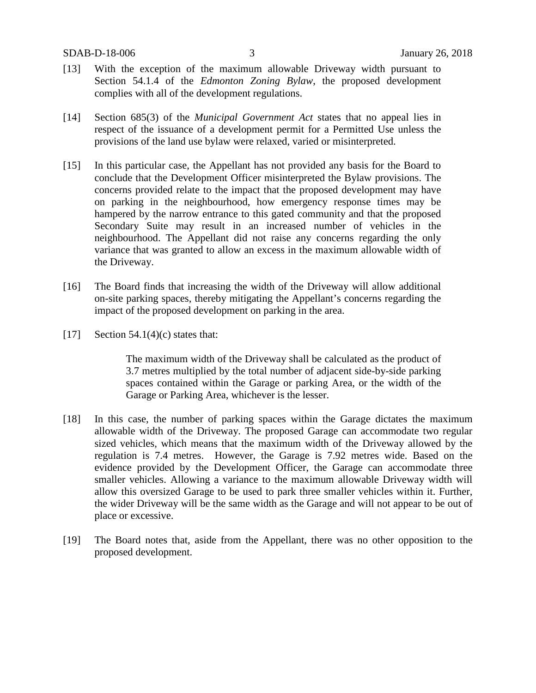- [13] With the exception of the maximum allowable Driveway width pursuant to Section 54.1.4 of the *Edmonton Zoning Bylaw*, the proposed development complies with all of the development regulations.
- [14] Section 685(3) of the *Municipal Government Act* states that no appeal lies in respect of the issuance of a development permit for a Permitted Use unless the provisions of the land use bylaw were relaxed, varied or misinterpreted.
- [15] In this particular case, the Appellant has not provided any basis for the Board to conclude that the Development Officer misinterpreted the Bylaw provisions. The concerns provided relate to the impact that the proposed development may have on parking in the neighbourhood, how emergency response times may be hampered by the narrow entrance to this gated community and that the proposed Secondary Suite may result in an increased number of vehicles in the neighbourhood. The Appellant did not raise any concerns regarding the only variance that was granted to allow an excess in the maximum allowable width of the Driveway.
- [16] The Board finds that increasing the width of the Driveway will allow additional on-site parking spaces, thereby mitigating the Appellant's concerns regarding the impact of the proposed development on parking in the area.
- [17] Section 54.1(4)(c) states that:

The maximum width of the Driveway shall be calculated as the product of 3.7 metres multiplied by the total number of adjacent side-by-side parking spaces contained within the Garage or parking Area, or the width of the Garage or Parking Area, whichever is the lesser.

- [18] In this case, the number of parking spaces within the Garage dictates the maximum allowable width of the Driveway. The proposed Garage can accommodate two regular sized vehicles, which means that the maximum width of the Driveway allowed by the regulation is 7.4 metres. However, the Garage is 7.92 metres wide. Based on the evidence provided by the Development Officer, the Garage can accommodate three smaller vehicles. Allowing a variance to the maximum allowable Driveway width will allow this oversized Garage to be used to park three smaller vehicles within it. Further, the wider Driveway will be the same width as the Garage and will not appear to be out of place or excessive.
- [19] The Board notes that, aside from the Appellant, there was no other opposition to the proposed development.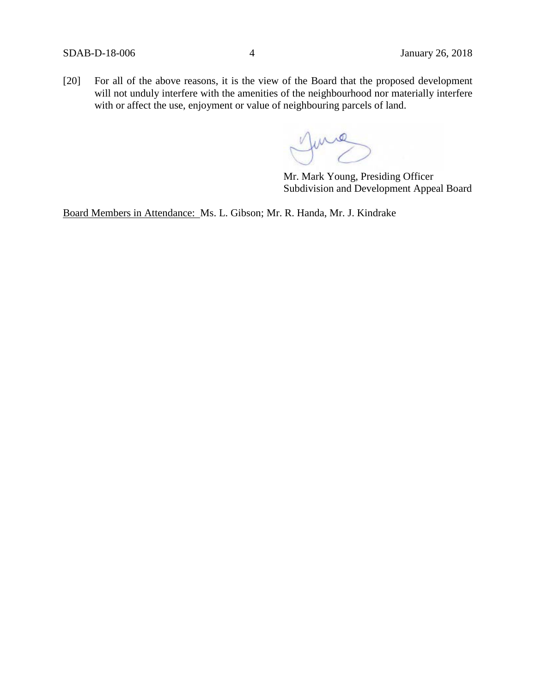[20] For all of the above reasons, it is the view of the Board that the proposed development will not unduly interfere with the amenities of the neighbourhood nor materially interfere with or affect the use, enjoyment or value of neighbouring parcels of land.

June

Mr. Mark Young, Presiding Officer Subdivision and Development Appeal Board

Board Members in Attendance: Ms. L. Gibson; Mr. R. Handa, Mr. J. Kindrake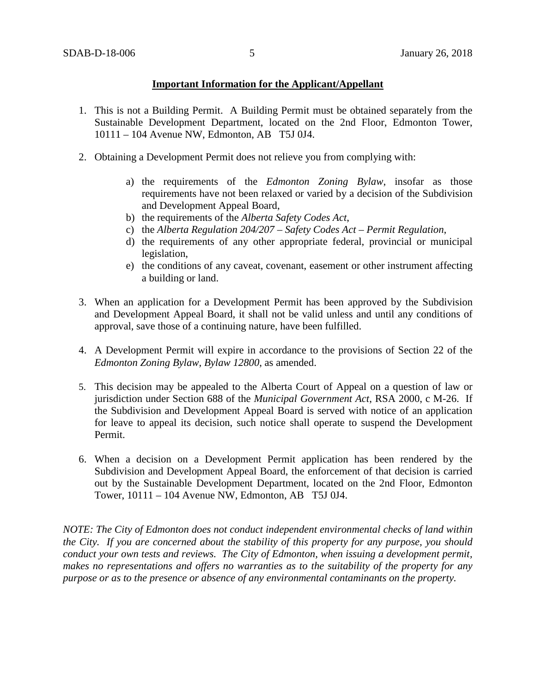## **Important Information for the Applicant/Appellant**

- 1. This is not a Building Permit. A Building Permit must be obtained separately from the Sustainable Development Department, located on the 2nd Floor, Edmonton Tower, 10111 – 104 Avenue NW, Edmonton, AB T5J 0J4.
- 2. Obtaining a Development Permit does not relieve you from complying with:
	- a) the requirements of the *Edmonton Zoning Bylaw*, insofar as those requirements have not been relaxed or varied by a decision of the Subdivision and Development Appeal Board,
	- b) the requirements of the *Alberta Safety Codes Act*,
	- c) the *Alberta Regulation 204/207 – Safety Codes Act – Permit Regulation*,
	- d) the requirements of any other appropriate federal, provincial or municipal legislation,
	- e) the conditions of any caveat, covenant, easement or other instrument affecting a building or land.
- 3. When an application for a Development Permit has been approved by the Subdivision and Development Appeal Board, it shall not be valid unless and until any conditions of approval, save those of a continuing nature, have been fulfilled.
- 4. A Development Permit will expire in accordance to the provisions of Section 22 of the *Edmonton Zoning Bylaw, Bylaw 12800*, as amended.
- 5. This decision may be appealed to the Alberta Court of Appeal on a question of law or jurisdiction under Section 688 of the *Municipal Government Act*, RSA 2000, c M-26. If the Subdivision and Development Appeal Board is served with notice of an application for leave to appeal its decision, such notice shall operate to suspend the Development Permit.
- 6. When a decision on a Development Permit application has been rendered by the Subdivision and Development Appeal Board, the enforcement of that decision is carried out by the Sustainable Development Department, located on the 2nd Floor, Edmonton Tower, 10111 – 104 Avenue NW, Edmonton, AB T5J 0J4.

*NOTE: The City of Edmonton does not conduct independent environmental checks of land within the City. If you are concerned about the stability of this property for any purpose, you should conduct your own tests and reviews. The City of Edmonton, when issuing a development permit, makes no representations and offers no warranties as to the suitability of the property for any purpose or as to the presence or absence of any environmental contaminants on the property.*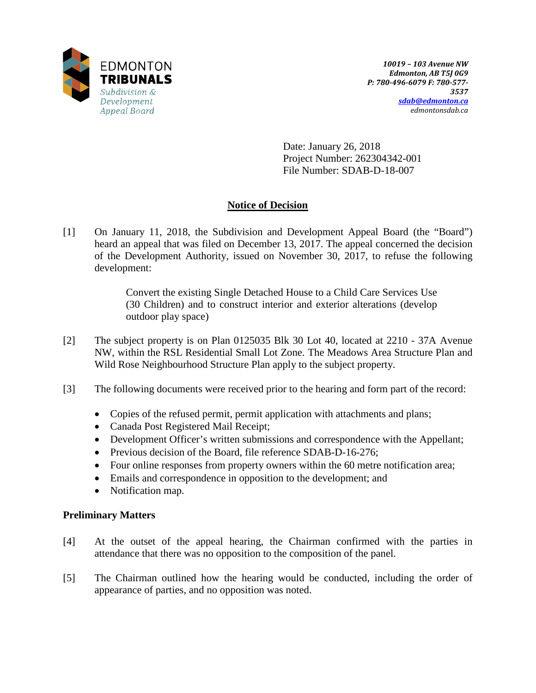

Date: January 26, 2018 Project Number: 262304342-001 File Number: SDAB-D-18-007

# **Notice of Decision**

[1] On January 11, 2018, the Subdivision and Development Appeal Board (the "Board") heard an appeal that was filed on December 13, 2017. The appeal concerned the decision of the Development Authority, issued on November 30, 2017, to refuse the following development:

> Convert the existing Single Detached House to a Child Care Services Use (30 Children) and to construct interior and exterior alterations (develop outdoor play space)

- [2] The subject property is on Plan 0125035 Blk 30 Lot 40, located at 2210 37A Avenue NW, within the RSL Residential Small Lot Zone. The Meadows Area Structure Plan and Wild Rose Neighbourhood Structure Plan apply to the subject property.
- [3] The following documents were received prior to the hearing and form part of the record:
	- Copies of the refused permit, permit application with attachments and plans;
	- Canada Post Registered Mail Receipt;
	- Development Officer's written submissions and correspondence with the Appellant;
	- Previous decision of the Board, file reference SDAB-D-16-276;
	- Four online responses from property owners within the 60 metre notification area;
	- Emails and correspondence in opposition to the development; and
	- Notification map.

## **Preliminary Matters**

- [4] At the outset of the appeal hearing, the Chairman confirmed with the parties in attendance that there was no opposition to the composition of the panel.
- [5] The Chairman outlined how the hearing would be conducted, including the order of appearance of parties, and no opposition was noted.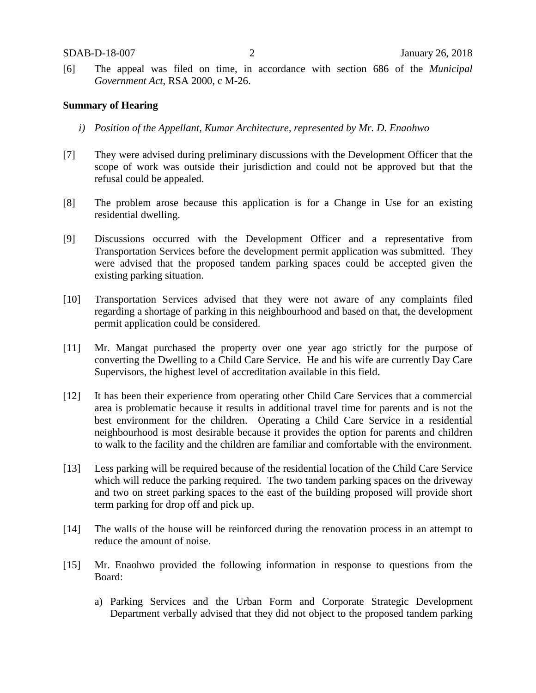[6] The appeal was filed on time, in accordance with section 686 of the *Municipal Government Act*, RSA 2000, c M-26.

#### **Summary of Hearing**

- *i) Position of the Appellant, Kumar Architecture, represented by Mr. D. Enaohwo*
- [7] They were advised during preliminary discussions with the Development Officer that the scope of work was outside their jurisdiction and could not be approved but that the refusal could be appealed.
- [8] The problem arose because this application is for a Change in Use for an existing residential dwelling.
- [9] Discussions occurred with the Development Officer and a representative from Transportation Services before the development permit application was submitted. They were advised that the proposed tandem parking spaces could be accepted given the existing parking situation.
- [10] Transportation Services advised that they were not aware of any complaints filed regarding a shortage of parking in this neighbourhood and based on that, the development permit application could be considered.
- [11] Mr. Mangat purchased the property over one year ago strictly for the purpose of converting the Dwelling to a Child Care Service. He and his wife are currently Day Care Supervisors, the highest level of accreditation available in this field.
- [12] It has been their experience from operating other Child Care Services that a commercial area is problematic because it results in additional travel time for parents and is not the best environment for the children. Operating a Child Care Service in a residential neighbourhood is most desirable because it provides the option for parents and children to walk to the facility and the children are familiar and comfortable with the environment.
- [13] Less parking will be required because of the residential location of the Child Care Service which will reduce the parking required. The two tandem parking spaces on the driveway and two on street parking spaces to the east of the building proposed will provide short term parking for drop off and pick up.
- [14] The walls of the house will be reinforced during the renovation process in an attempt to reduce the amount of noise.
- [15] Mr. Enaohwo provided the following information in response to questions from the Board:
	- a) Parking Services and the Urban Form and Corporate Strategic Development Department verbally advised that they did not object to the proposed tandem parking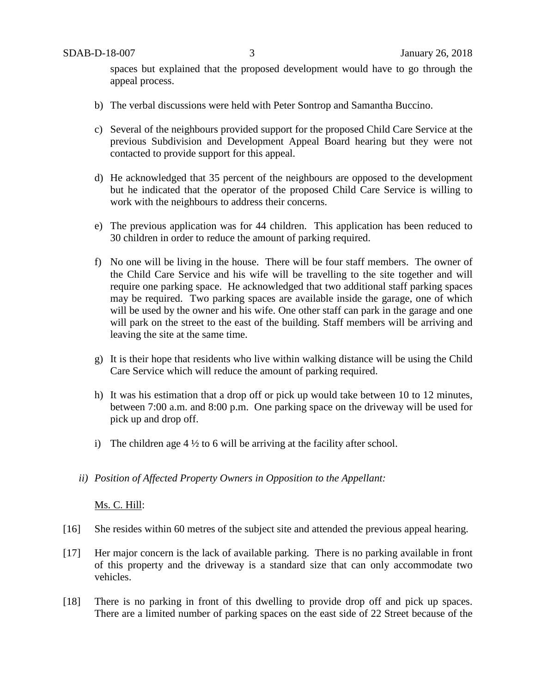spaces but explained that the proposed development would have to go through the appeal process.

- b) The verbal discussions were held with Peter Sontrop and Samantha Buccino.
- c) Several of the neighbours provided support for the proposed Child Care Service at the previous Subdivision and Development Appeal Board hearing but they were not contacted to provide support for this appeal.
- d) He acknowledged that 35 percent of the neighbours are opposed to the development but he indicated that the operator of the proposed Child Care Service is willing to work with the neighbours to address their concerns.
- e) The previous application was for 44 children. This application has been reduced to 30 children in order to reduce the amount of parking required.
- f) No one will be living in the house. There will be four staff members. The owner of the Child Care Service and his wife will be travelling to the site together and will require one parking space. He acknowledged that two additional staff parking spaces may be required. Two parking spaces are available inside the garage, one of which will be used by the owner and his wife. One other staff can park in the garage and one will park on the street to the east of the building. Staff members will be arriving and leaving the site at the same time.
- g) It is their hope that residents who live within walking distance will be using the Child Care Service which will reduce the amount of parking required.
- h) It was his estimation that a drop off or pick up would take between 10 to 12 minutes, between 7:00 a.m. and 8:00 p.m. One parking space on the driveway will be used for pick up and drop off.
- i) The children age  $4\frac{1}{2}$  to 6 will be arriving at the facility after school.
- *ii) Position of Affected Property Owners in Opposition to the Appellant:*

## Ms. C. Hill:

- [16] She resides within 60 metres of the subject site and attended the previous appeal hearing.
- [17] Her major concern is the lack of available parking. There is no parking available in front of this property and the driveway is a standard size that can only accommodate two vehicles.
- [18] There is no parking in front of this dwelling to provide drop off and pick up spaces. There are a limited number of parking spaces on the east side of 22 Street because of the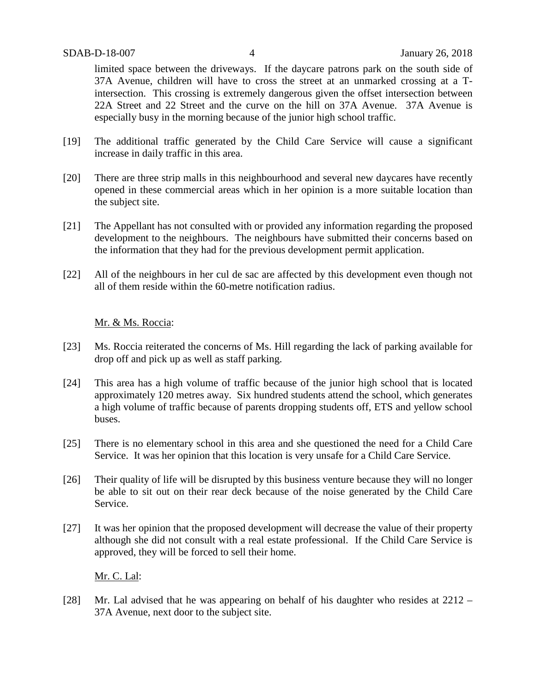limited space between the driveways. If the daycare patrons park on the south side of 37A Avenue, children will have to cross the street at an unmarked crossing at a Tintersection. This crossing is extremely dangerous given the offset intersection between 22A Street and 22 Street and the curve on the hill on 37A Avenue. 37A Avenue is especially busy in the morning because of the junior high school traffic.

- [19] The additional traffic generated by the Child Care Service will cause a significant increase in daily traffic in this area.
- [20] There are three strip malls in this neighbourhood and several new daycares have recently opened in these commercial areas which in her opinion is a more suitable location than the subject site.
- [21] The Appellant has not consulted with or provided any information regarding the proposed development to the neighbours. The neighbours have submitted their concerns based on the information that they had for the previous development permit application.
- [22] All of the neighbours in her cul de sac are affected by this development even though not all of them reside within the 60-metre notification radius.

## Mr. & Ms. Roccia:

- [23] Ms. Roccia reiterated the concerns of Ms. Hill regarding the lack of parking available for drop off and pick up as well as staff parking.
- [24] This area has a high volume of traffic because of the junior high school that is located approximately 120 metres away. Six hundred students attend the school, which generates a high volume of traffic because of parents dropping students off, ETS and yellow school buses.
- [25] There is no elementary school in this area and she questioned the need for a Child Care Service. It was her opinion that this location is very unsafe for a Child Care Service.
- [26] Their quality of life will be disrupted by this business venture because they will no longer be able to sit out on their rear deck because of the noise generated by the Child Care Service.
- [27] It was her opinion that the proposed development will decrease the value of their property although she did not consult with a real estate professional. If the Child Care Service is approved, they will be forced to sell their home.

Mr. C. Lal:

[28] Mr. Lal advised that he was appearing on behalf of his daughter who resides at 2212 – 37A Avenue, next door to the subject site.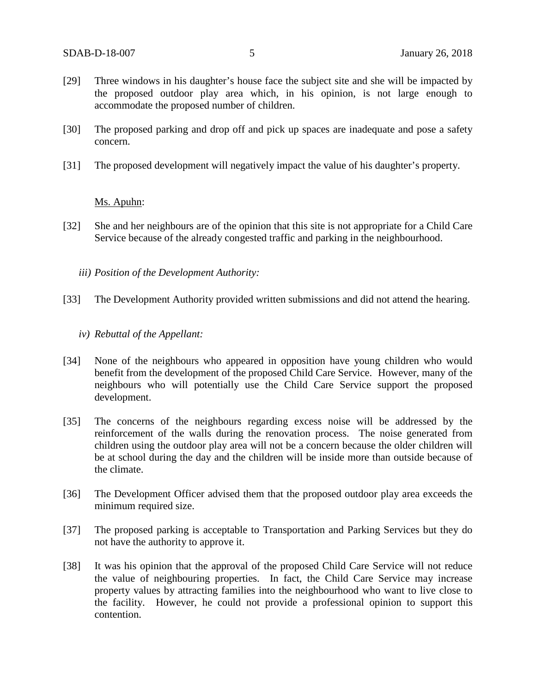- [29] Three windows in his daughter's house face the subject site and she will be impacted by the proposed outdoor play area which, in his opinion, is not large enough to accommodate the proposed number of children.
- [30] The proposed parking and drop off and pick up spaces are inadequate and pose a safety concern.
- [31] The proposed development will negatively impact the value of his daughter's property.

## Ms. Apuhn:

- [32] She and her neighbours are of the opinion that this site is not appropriate for a Child Care Service because of the already congested traffic and parking in the neighbourhood.
	- *iii) Position of the Development Authority:*
- [33] The Development Authority provided written submissions and did not attend the hearing.
	- *iv) Rebuttal of the Appellant:*
- [34] None of the neighbours who appeared in opposition have young children who would benefit from the development of the proposed Child Care Service. However, many of the neighbours who will potentially use the Child Care Service support the proposed development.
- [35] The concerns of the neighbours regarding excess noise will be addressed by the reinforcement of the walls during the renovation process. The noise generated from children using the outdoor play area will not be a concern because the older children will be at school during the day and the children will be inside more than outside because of the climate.
- [36] The Development Officer advised them that the proposed outdoor play area exceeds the minimum required size.
- [37] The proposed parking is acceptable to Transportation and Parking Services but they do not have the authority to approve it.
- [38] It was his opinion that the approval of the proposed Child Care Service will not reduce the value of neighbouring properties. In fact, the Child Care Service may increase property values by attracting families into the neighbourhood who want to live close to the facility. However, he could not provide a professional opinion to support this contention.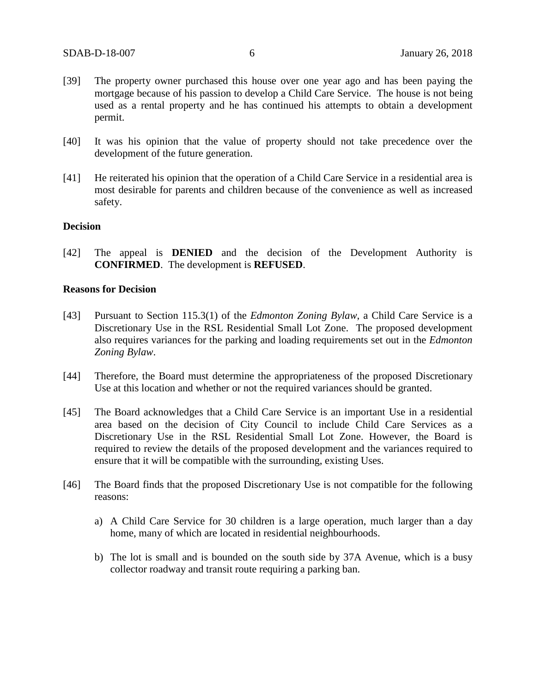- [39] The property owner purchased this house over one year ago and has been paying the mortgage because of his passion to develop a Child Care Service. The house is not being used as a rental property and he has continued his attempts to obtain a development permit.
- [40] It was his opinion that the value of property should not take precedence over the development of the future generation.
- [41] He reiterated his opinion that the operation of a Child Care Service in a residential area is most desirable for parents and children because of the convenience as well as increased safety.

## **Decision**

[42] The appeal is **DENIED** and the decision of the Development Authority is **CONFIRMED**. The development is **REFUSED**.

## **Reasons for Decision**

- [43] Pursuant to Section 115.3(1) of the *Edmonton Zoning Bylaw*, a Child Care Service is a Discretionary Use in the RSL Residential Small Lot Zone. The proposed development also requires variances for the parking and loading requirements set out in the *Edmonton Zoning Bylaw*.
- [44] Therefore, the Board must determine the appropriateness of the proposed Discretionary Use at this location and whether or not the required variances should be granted.
- [45] The Board acknowledges that a Child Care Service is an important Use in a residential area based on the decision of City Council to include Child Care Services as a Discretionary Use in the RSL Residential Small Lot Zone. However, the Board is required to review the details of the proposed development and the variances required to ensure that it will be compatible with the surrounding, existing Uses.
- [46] The Board finds that the proposed Discretionary Use is not compatible for the following reasons:
	- a) A Child Care Service for 30 children is a large operation, much larger than a day home, many of which are located in residential neighbourhoods.
	- b) The lot is small and is bounded on the south side by 37A Avenue, which is a busy collector roadway and transit route requiring a parking ban.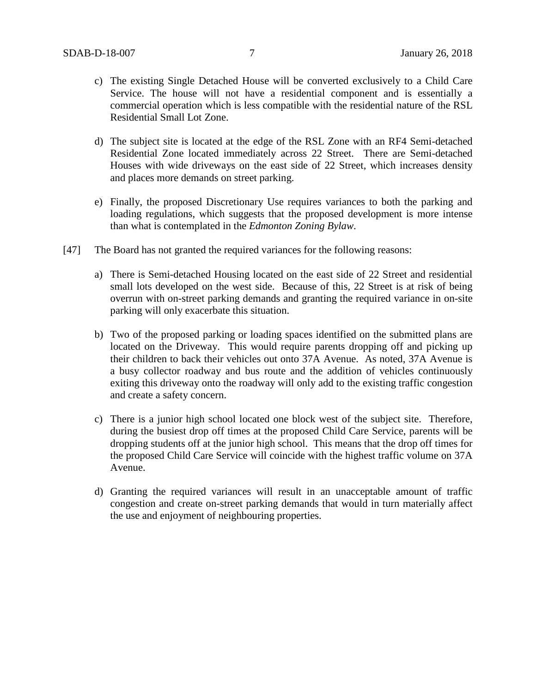- c) The existing Single Detached House will be converted exclusively to a Child Care Service. The house will not have a residential component and is essentially a commercial operation which is less compatible with the residential nature of the RSL Residential Small Lot Zone.
- d) The subject site is located at the edge of the RSL Zone with an RF4 Semi-detached Residential Zone located immediately across 22 Street. There are Semi-detached Houses with wide driveways on the east side of 22 Street, which increases density and places more demands on street parking.
- e) Finally, the proposed Discretionary Use requires variances to both the parking and loading regulations, which suggests that the proposed development is more intense than what is contemplated in the *Edmonton Zoning Bylaw*.
- [47] The Board has not granted the required variances for the following reasons:
	- a) There is Semi-detached Housing located on the east side of 22 Street and residential small lots developed on the west side. Because of this, 22 Street is at risk of being overrun with on-street parking demands and granting the required variance in on-site parking will only exacerbate this situation.
	- b) Two of the proposed parking or loading spaces identified on the submitted plans are located on the Driveway. This would require parents dropping off and picking up their children to back their vehicles out onto 37A Avenue. As noted, 37A Avenue is a busy collector roadway and bus route and the addition of vehicles continuously exiting this driveway onto the roadway will only add to the existing traffic congestion and create a safety concern.
	- c) There is a junior high school located one block west of the subject site. Therefore, during the busiest drop off times at the proposed Child Care Service, parents will be dropping students off at the junior high school. This means that the drop off times for the proposed Child Care Service will coincide with the highest traffic volume on 37A Avenue.
	- d) Granting the required variances will result in an unacceptable amount of traffic congestion and create on-street parking demands that would in turn materially affect the use and enjoyment of neighbouring properties.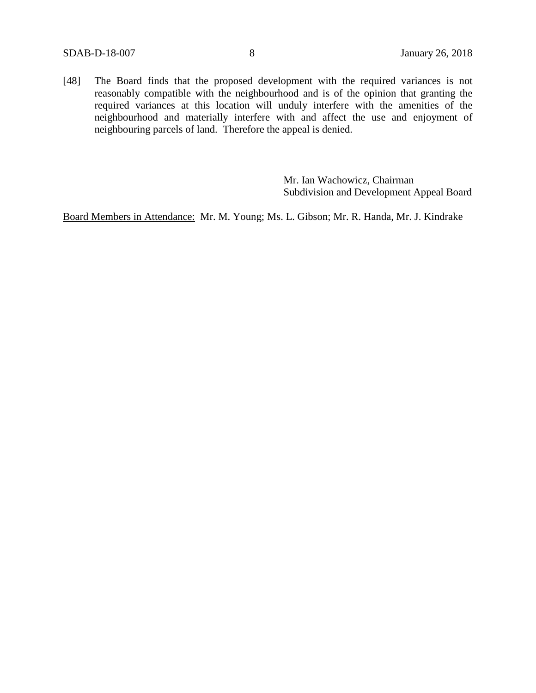[48] The Board finds that the proposed development with the required variances is not reasonably compatible with the neighbourhood and is of the opinion that granting the required variances at this location will unduly interfere with the amenities of the neighbourhood and materially interfere with and affect the use and enjoyment of neighbouring parcels of land. Therefore the appeal is denied.

> Mr. Ian Wachowicz, Chairman Subdivision and Development Appeal Board

Board Members in Attendance: Mr. M. Young; Ms. L. Gibson; Mr. R. Handa, Mr. J. Kindrake